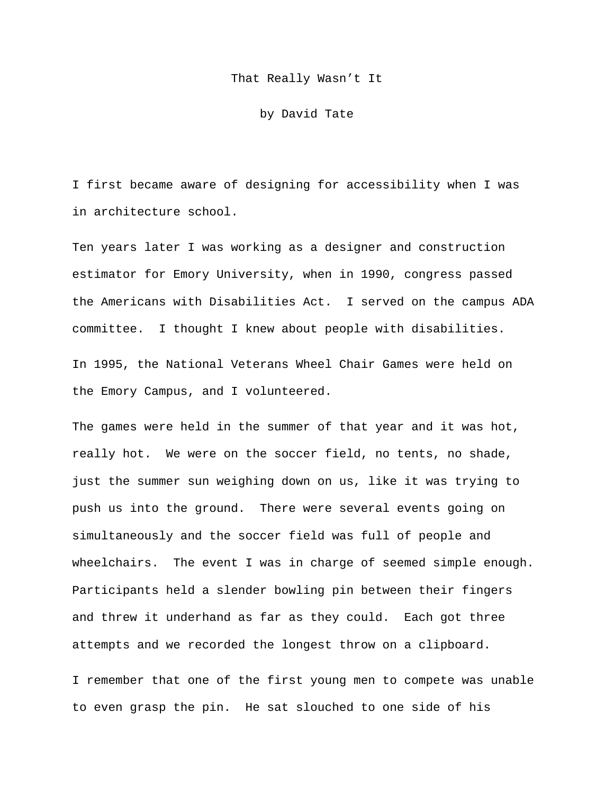## That Really Wasn't It

by David Tate

I first became aware of designing for accessibility when I was in architecture school.

Ten years later I was working as a designer and construction estimator for Emory University, when in 1990, congress passed the Americans with Disabilities Act. I served on the campus ADA committee. I thought I knew about people with disabilities. In 1995, the National Veterans Wheel Chair Games were held on the Emory Campus, and I volunteered.

The games were held in the summer of that year and it was hot, really hot. We were on the soccer field, no tents, no shade, just the summer sun weighing down on us, like it was trying to push us into the ground. There were several events going on simultaneously and the soccer field was full of people and wheelchairs. The event I was in charge of seemed simple enough. Participants held a slender bowling pin between their fingers and threw it underhand as far as they could. Each got three attempts and we recorded the longest throw on a clipboard.

I remember that one of the first young men to compete was unable to even grasp the pin. He sat slouched to one side of his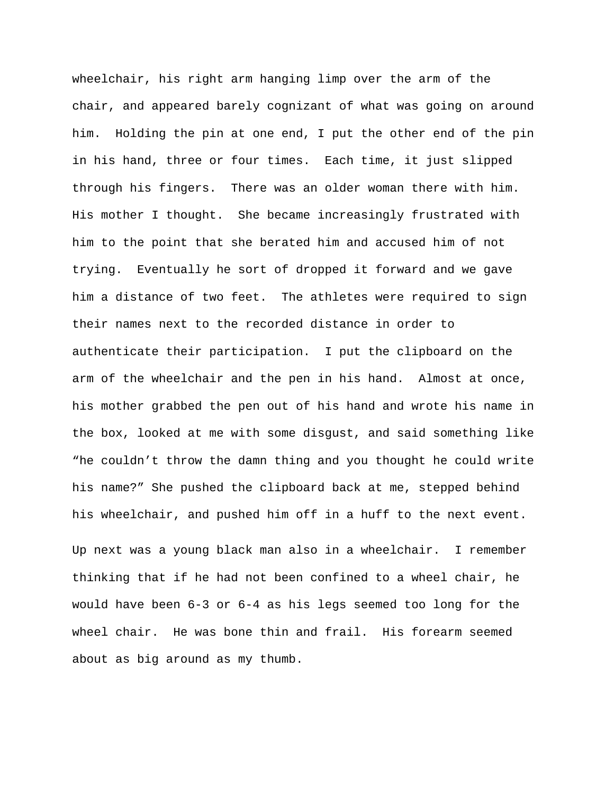wheelchair, his right arm hanging limp over the arm of the chair, and appeared barely cognizant of what was going on around him. Holding the pin at one end, I put the other end of the pin in his hand, three or four times. Each time, it just slipped through his fingers. There was an older woman there with him. His mother I thought. She became increasingly frustrated with him to the point that she berated him and accused him of not trying. Eventually he sort of dropped it forward and we gave him a distance of two feet. The athletes were required to sign their names next to the recorded distance in order to authenticate their participation. I put the clipboard on the arm of the wheelchair and the pen in his hand. Almost at once, his mother grabbed the pen out of his hand and wrote his name in the box, looked at me with some disgust, and said something like "he couldn't throw the damn thing and you thought he could write his name?" She pushed the clipboard back at me, stepped behind his wheelchair, and pushed him off in a huff to the next event.

Up next was a young black man also in a wheelchair. I remember thinking that if he had not been confined to a wheel chair, he would have been 6-3 or 6-4 as his legs seemed too long for the wheel chair. He was bone thin and frail. His forearm seemed about as big around as my thumb.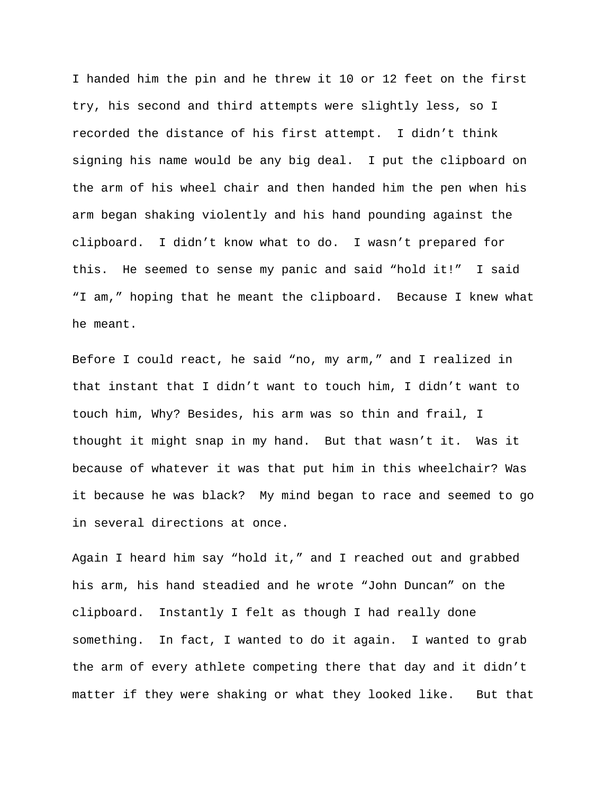I handed him the pin and he threw it 10 or 12 feet on the first try, his second and third attempts were slightly less, so I recorded the distance of his first attempt. I didn't think signing his name would be any big deal. I put the clipboard on the arm of his wheel chair and then handed him the pen when his arm began shaking violently and his hand pounding against the clipboard. I didn't know what to do. I wasn't prepared for this. He seemed to sense my panic and said "hold it!" I said "I am," hoping that he meant the clipboard. Because I knew what he meant.

Before I could react, he said "no, my arm," and I realized in that instant that I didn't want to touch him, I didn't want to touch him, Why? Besides, his arm was so thin and frail, I thought it might snap in my hand. But that wasn't it. Was it because of whatever it was that put him in this wheelchair? Was it because he was black? My mind began to race and seemed to go in several directions at once.

Again I heard him say "hold it," and I reached out and grabbed his arm, his hand steadied and he wrote "John Duncan" on the clipboard. Instantly I felt as though I had really done something. In fact, I wanted to do it again. I wanted to grab the arm of every athlete competing there that day and it didn't matter if they were shaking or what they looked like. But that